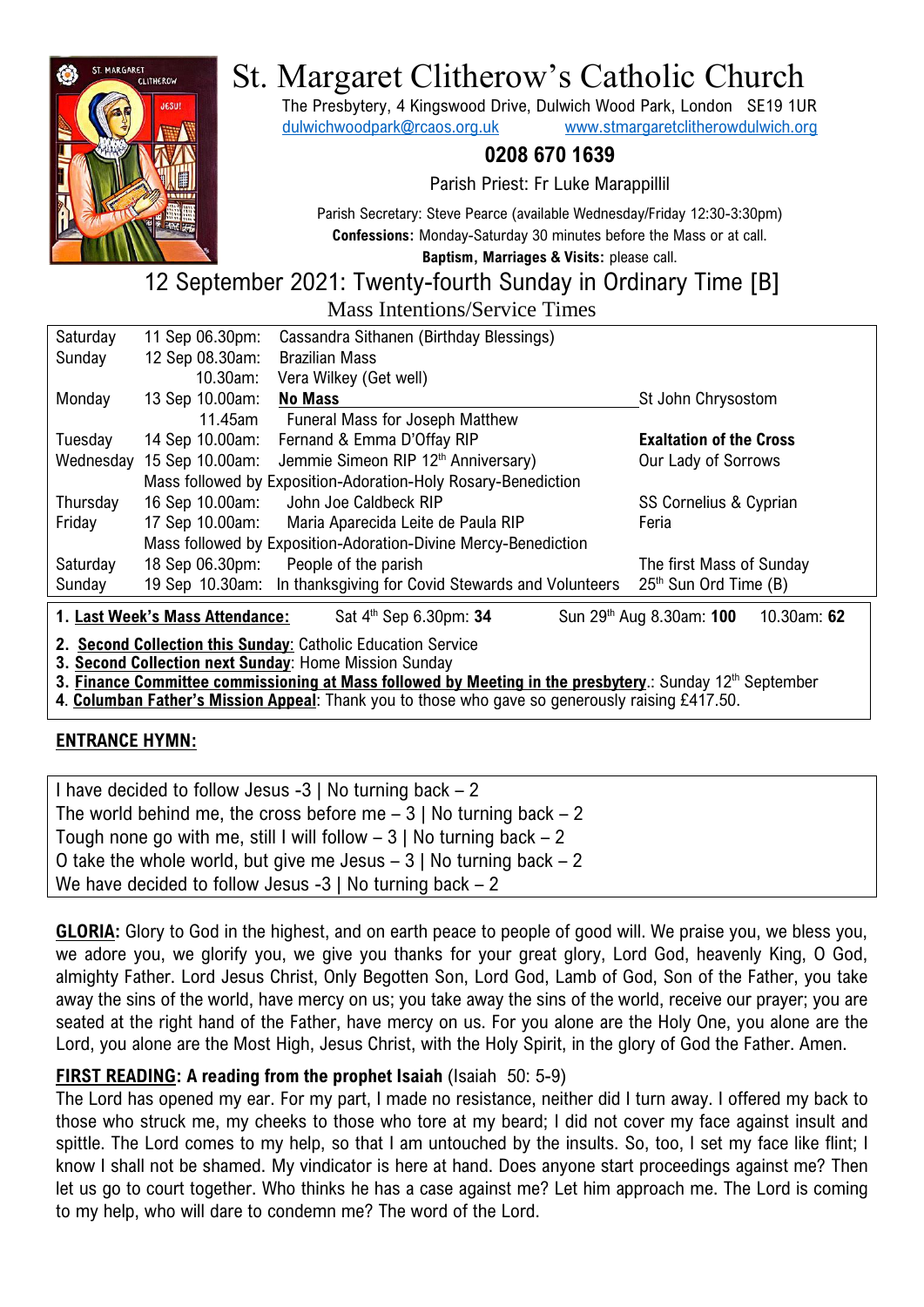

# St. Margaret Clitherow's Catholic Church

The Presbytery, 4 Kingswood Drive, Dulwich Wood Park, London SE19 1UR [dulwichwoodpark@rcaos.org.uk](mailto:dulwichwoodpark@rcaos.org.uk) [www.stmargaretclitherowdulwich.org](http://www.stmargaretclitherowdulwich.org/)

# **0208 670 1639**

Parish Priest: Fr Luke Marappillil

Parish Secretary: Steve Pearce (available Wednesday/Friday 12:30-3:30pm) **Confessions:** Monday-Saturday 30 minutes before the Mass or at call.

**Baptism, Marriages & Visits:** please call.

# 12 September 2021: Twenty-fourth Sunday in Ordinary Time [B] Mass Intentions/Service Times

| Saturday                                                                                                                                                                                                                          | 11 Sep 06.30pm: | Cassandra Sithanen (Birthday Blessings)                        |                                   |
|-----------------------------------------------------------------------------------------------------------------------------------------------------------------------------------------------------------------------------------|-----------------|----------------------------------------------------------------|-----------------------------------|
| Sunday                                                                                                                                                                                                                            | 12 Sep 08.30am: | <b>Brazilian Mass</b>                                          |                                   |
|                                                                                                                                                                                                                                   | 10.30am:        | Vera Wilkey (Get well)                                         |                                   |
| Monday                                                                                                                                                                                                                            | 13 Sep 10.00am: | <b>No Mass</b>                                                 | St John Chrysostom                |
|                                                                                                                                                                                                                                   | 11.45am         | <b>Funeral Mass for Joseph Matthew</b>                         |                                   |
| Tuesday                                                                                                                                                                                                                           | 14 Sep 10.00am: | Fernand & Emma D'Offay RIP                                     | <b>Exaltation of the Cross</b>    |
| Wednesday                                                                                                                                                                                                                         | 15 Sep 10.00am: | Jemmie Simeon RIP 12th Anniversary)                            | Our Lady of Sorrows               |
|                                                                                                                                                                                                                                   |                 | Mass followed by Exposition-Adoration-Holy Rosary-Benediction  |                                   |
| Thursday                                                                                                                                                                                                                          | 16 Sep 10.00am: | John Joe Caldbeck RIP                                          | SS Cornelius & Cyprian            |
| Friday                                                                                                                                                                                                                            | 17 Sep 10.00am: | Maria Aparecida Leite de Paula RIP                             | Feria                             |
|                                                                                                                                                                                                                                   |                 | Mass followed by Exposition-Adoration-Divine Mercy-Benediction |                                   |
| Saturday                                                                                                                                                                                                                          | 18 Sep 06.30pm: | People of the parish                                           | The first Mass of Sunday          |
| Sunday                                                                                                                                                                                                                            | 19 Sep 10.30am: | In thanksgiving for Covid Stewards and Volunteers              | 25 <sup>th</sup> Sun Ord Time (B) |
| 10.30am: 62<br>1. Last Week's Mass Attendance:<br>Sat 4 <sup>th</sup> Sep 6.30pm: 34<br>Sun 29 <sup>th</sup> Aug 8.30am: 100                                                                                                      |                 |                                                                |                                   |
| 2. Second Collection this Sunday: Catholic Education Service<br>3. Second Collection next Sunday: Home Mission Sunday<br>3. Finance Committee commissioning at Mass followed by Meeting in the presbytery.: Sunday 12th September |                 |                                                                |                                   |

**4**. **Columban Father's Mission Appeal**: Thank you to those who gave so generously raising £417.50.

# **ENTRANCE HYMN:**

| I have decided to follow Jesus $-3$   No turning back $-2$             |
|------------------------------------------------------------------------|
| The world behind me, the cross before me $-3$   No turning back $-2$   |
| Tough none go with me, still I will follow $-3$   No turning back $-2$ |
| O take the whole world, but give me Jesus $-3$   No turning back $-2$  |
| We have decided to follow Jesus -3   No turning back $-2$              |

**GLORIA:** Glory to God in the highest, and on earth peace to people of good will. We praise you, we bless you, we adore you, we glorify you, we give you thanks for your great glory, Lord God, heavenly King, O God, almighty Father. Lord Jesus Christ, Only Begotten Son, Lord God, Lamb of God, Son of the Father, you take away the sins of the world, have mercy on us; you take away the sins of the world, receive our prayer; you are seated at the right hand of the Father, have mercy on us. For you alone are the Holy One, you alone are the Lord, you alone are the Most High, Jesus Christ, with the Holy Spirit, in the glory of God the Father. Amen.

# **FIRST READING: A reading from the prophet Isaiah (Isaiah 50: 5-9)**

The Lord has opened my ear. For my part, I made no resistance, neither did I turn away. I offered my back to those who struck me, my cheeks to those who tore at my beard; I did not cover my face against insult and spittle. The Lord comes to my help, so that I am untouched by the insults. So, too, I set my face like flint; I know I shall not be shamed. My vindicator is here at hand. Does anyone start proceedings against me? Then let us go to court together. Who thinks he has a case against me? Let him approach me. The Lord is coming to my help, who will dare to condemn me? The word of the Lord.